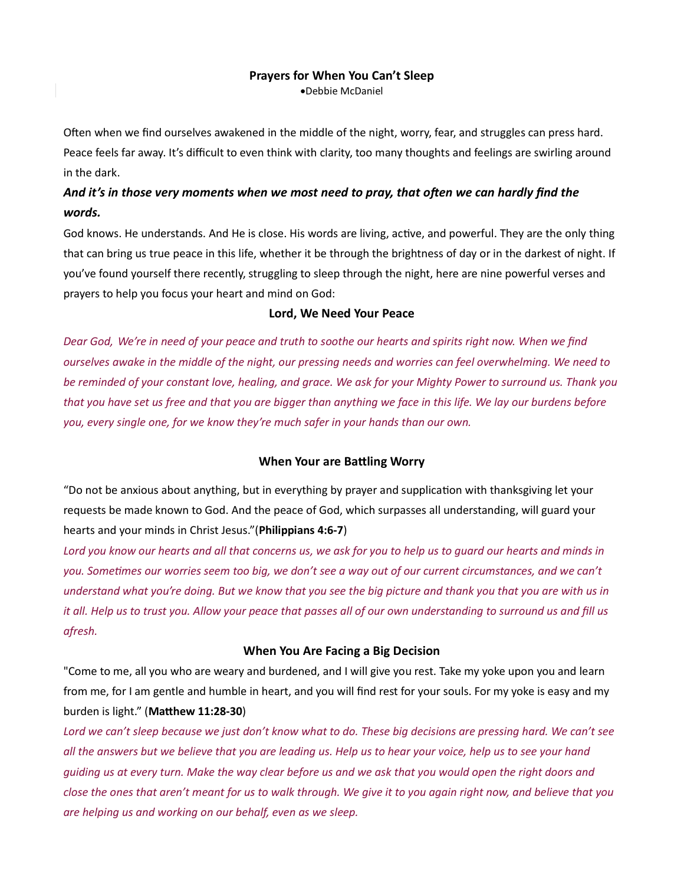## Prayers for When You Can't Sleep

Debbie McDaniel

Often when we find ourselves awakened in the middle of the night, worry, fear, and struggles can press hard. Peace feels far away. It's difficult to even think with clarity, too many thoughts and feelings are swirling around in the dark.

# And it's in those very moments when we most need to pray, that often we can hardly find the words.

God knows. He understands. And He is close. His words are living, active, and powerful. They are the only thing that can bring us true peace in this life, whether it be through the brightness of day or in the darkest of night. If you've found yourself there recently, struggling to sleep through the night, here are nine powerful verses and prayers to help you focus your heart and mind on God:

# Lord, We Need Your Peace

Dear God, We're in need of your peace and truth to soothe our hearts and spirits right now. When we find ourselves awake in the middle of the night, our pressing needs and worries can feel overwhelming. We need to be reminded of your constant love, healing, and grace. We ask for your Mighty Power to surround us. Thank you that you have set us free and that you are bigger than anything we face in this life. We lay our burdens before you, every single one, for we know they're much safer in your hands than our own.

# When Your are Battling Worry

"Do not be anxious about anything, but in everything by prayer and supplication with thanksgiving let your requests be made known to God. And the peace of God, which surpasses all understanding, will guard your hearts and your minds in Christ Jesus."(Philippians 4:6-7)

Lord you know our hearts and all that concerns us, we ask for you to help us to guard our hearts and minds in you. Sometimes our worries seem too big, we don't see a way out of our current circumstances, and we can't understand what you're doing. But we know that you see the big picture and thank you that you are with us in it all. Help us to trust you. Allow your peace that passes all of our own understanding to surround us and fill us afresh.

# When You Are Facing a Big Decision

"Come to me, all you who are weary and burdened, and I will give you rest. Take my yoke upon you and learn from me, for I am gentle and humble in heart, and you will find rest for your souls. For my yoke is easy and my burden is light." (Matthew 11:28-30)

Lord we can't sleep because we just don't know what to do. These big decisions are pressing hard. We can't see all the answers but we believe that you are leading us. Help us to hear your voice, help us to see your hand guiding us at every turn. Make the way clear before us and we ask that you would open the right doors and close the ones that aren't meant for us to walk through. We give it to you again right now, and believe that you are helping us and working on our behalf, even as we sleep.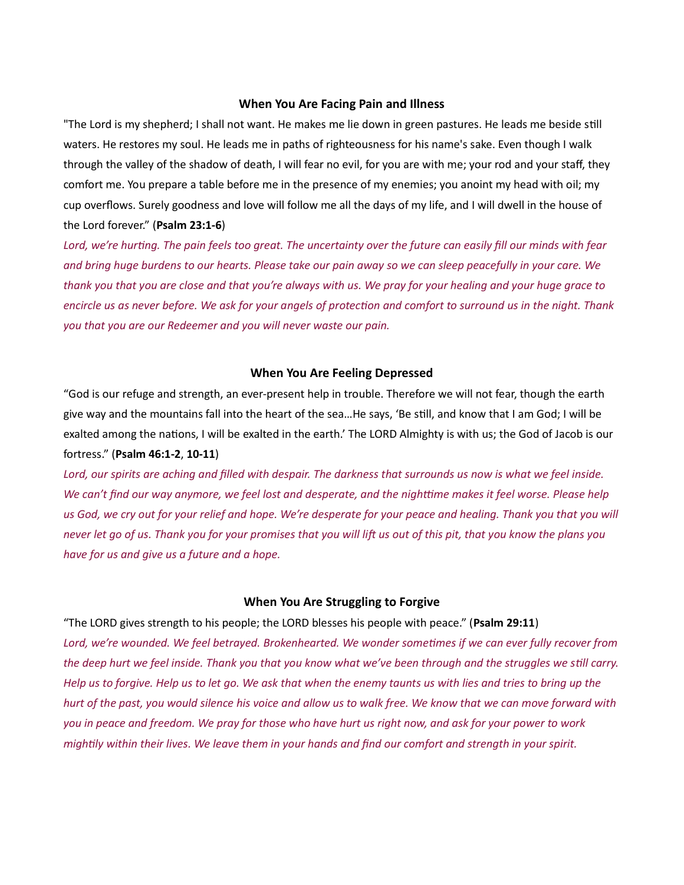#### When You Are Facing Pain and Illness

"The Lord is my shepherd; I shall not want. He makes me lie down in green pastures. He leads me beside still waters. He restores my soul. He leads me in paths of righteousness for his name's sake. Even though I walk through the valley of the shadow of death, I will fear no evil, for you are with me; your rod and your staff, they comfort me. You prepare a table before me in the presence of my enemies; you anoint my head with oil; my cup overflows. Surely goodness and love will follow me all the days of my life, and I will dwell in the house of the Lord forever." (Psalm 23:1-6)

Lord, we're hurting. The pain feels too great. The uncertainty over the future can easily fill our minds with fear and bring huge burdens to our hearts. Please take our pain away so we can sleep peacefully in your care. We thank you that you are close and that you're always with us. We pray for your healing and your huge grace to encircle us as never before. We ask for your angels of protection and comfort to surround us in the night. Thank you that you are our Redeemer and you will never waste our pain.

#### When You Are Feeling Depressed

"God is our refuge and strength, an ever-present help in trouble. Therefore we will not fear, though the earth give way and the mountains fall into the heart of the sea...He says, 'Be still, and know that I am God; I will be exalted among the nations, I will be exalted in the earth.' The LORD Almighty is with us; the God of Jacob is our fortress." (Psalm 46:1-2, 10-11)

Lord, our spirits are aching and filled with despair. The darkness that surrounds us now is what we feel inside. We can't find our way anymore, we feel lost and desperate, and the nighttime makes it feel worse. Please help us God, we cry out for your relief and hope. We're desperate for your peace and healing. Thank you that you will never let go of us. Thank you for your promises that you will lift us out of this pit, that you know the plans you have for us and give us a future and a hope.

## When You Are Struggling to Forgive

"The LORD gives strength to his people; the LORD blesses his people with peace." (Psalm 29:11) Lord, we're wounded. We feel betrayed. Brokenhearted. We wonder sometimes if we can ever fully recover from the deep hurt we feel inside. Thank you that you know what we've been through and the struggles we still carry. Help us to forgive. Help us to let go. We ask that when the enemy taunts us with lies and tries to bring up the hurt of the past, you would silence his voice and allow us to walk free. We know that we can move forward with you in peace and freedom. We pray for those who have hurt us right now, and ask for your power to work mightily within their lives. We leave them in your hands and find our comfort and strength in your spirit.